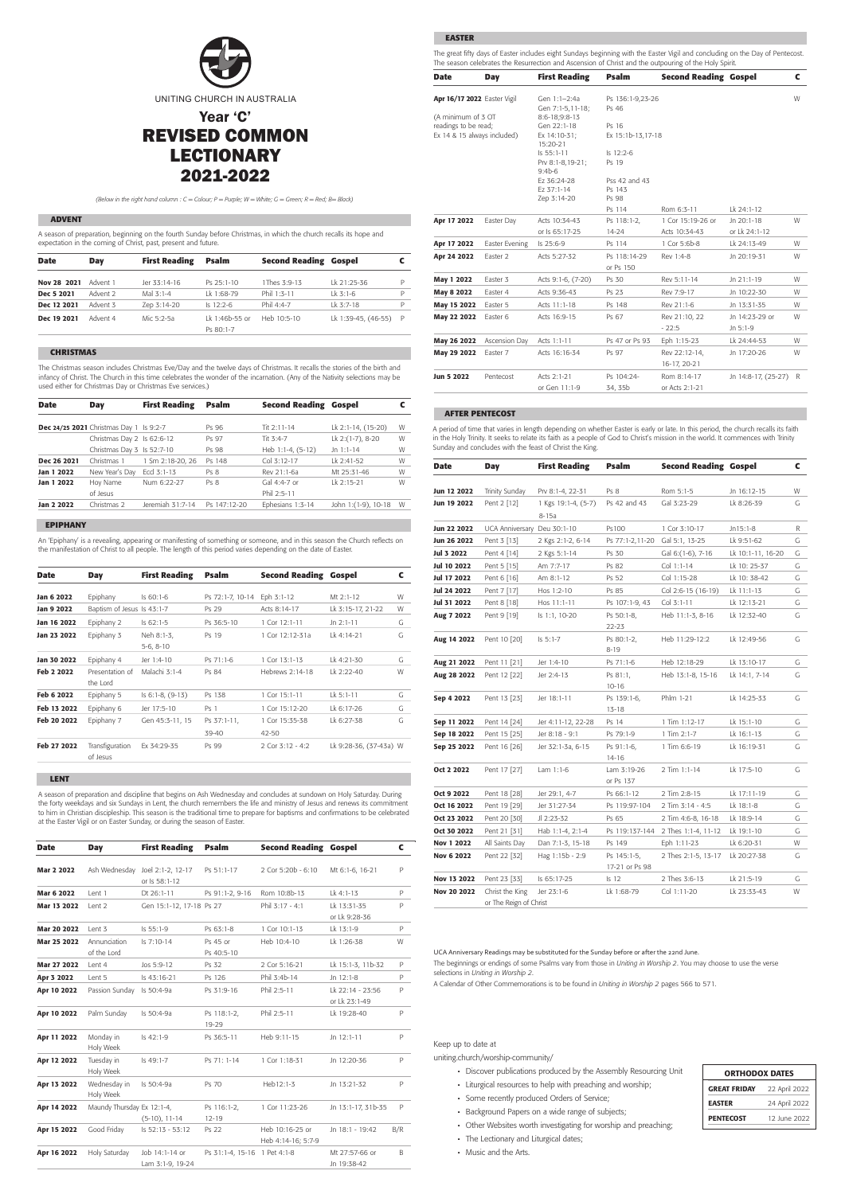

REVISED COMMON LECTIONARY 2021-2022

#### **ADVENT**

A season of preparation, beginning on the fourth Sunday before Christmas, in which the church recalls its hope and expectation in the coming of Christ, past, present and future.

| <b>Date</b> | Day      | <b>First Reading</b> | <b>Psalm</b>                | <b>Second Reading Gospel</b> |                     |              |
|-------------|----------|----------------------|-----------------------------|------------------------------|---------------------|--------------|
| Nov 28 2021 | Advent 1 | Jer 33:14-16         | $Ps$ 25:1-10                | 1Thes 3:9-13                 | Ik 21:25-36         | P            |
| Dec 5 2021  | Advent 2 | Mal $3.1-4$          | Lk 1:68-79                  | Phil $1.3 - 11$              | $1k$ 3:1-6          | P            |
| Dec 12 2021 | Advent 3 | Zep 3:14-20          | $Is$ 12:2-6                 | Phil 4:4-7                   | $1k$ 3:7-18         | P            |
| Dec 19 2021 | Advent 4 | Mic 5:2-5a           | Lk 1:46b-55 or<br>Ps 80:1-7 | Heb 10:5-10                  | Lk 1:39-45, (46-55) | $\mathsf{P}$ |

## **CHRISTMAS**

The Christmas season includes Christmas Eve/Day and the twelve days of Christmas. It recalls the stories of the birth and infancy of Christ. The Church in this time celebrates the wonder of the incarnation. (Any of the Nativity selections may be used either for Christmas Day or Christmas Eve services.)

### **EPIPHANY**

An 'Epiphany' is a revealing, appearing or manifesting of something or someone, and in this season the Church reflects on the manifestation of Christ to all people. The length of this period varies depending on the date of Easter.

#### **LENT**

A season of preparation and discipline that begins on Ash Wednesday and concludes at sundown on Holy Saturday. During the forty weekdays and six Sundays in Lent, the church remembers the life and ministry of Jesus and renews its commitment to him in Christian discipleship. This season is the traditional time to prepare for baptisms and confirmations to be celebrated at the Easter Vigil or on Easter Sunday, or during the season of Easter.

## **EASTER**

The great fifty days of Easter includes eight Sundays beginning with the Easter Vigil and concluding on the Day of Pentecost. The season celebrates the Resurrection and Ascension of Christ and the outpouring of the Holy Spirit.

| <b>Date</b> | Day                                     | <b>First Reading</b> | <b>Psalm</b>    | <b>Second Reading Gospel</b> |                      |   |
|-------------|-----------------------------------------|----------------------|-----------------|------------------------------|----------------------|---|
|             | Dec 24/25 2021 Christmas Day 1 Is 9:2-7 |                      | Ps 96           | Tit $2:11-14$                | Lk 2:1-14, (15-20)   | W |
|             | Christmas Day 2 Is 62:6-12              |                      | Ps 97           | Tit $3:4-7$                  | Lk 2:(1-7), 8-20     | W |
|             | Christmas Day 3 Is 52:7-10              |                      | Ps 98           | Heb 1:1-4, (5-12)            | Jn $1:1-14$          | W |
| Dec 26 2021 | Christmas 1                             | 1 Sm 2:18-20, 26     | Ps 148          | Col 3:12-17                  | Ik 2:41-52           | W |
| Jan 1 2022  | New Year's Day                          | Eccl 3:1-13          | Ps <sub>8</sub> | Rev 21:1-6a                  | Mt 25:31-46          | W |
| Jan 1 2022  | Hoy Name                                | Num 6:22-27          | Ps <sub>8</sub> | Gal $4:4-7$ or               | Ik 2:15-21           | W |
|             | of Jesus                                |                      |                 | Phil 2:5-11                  |                      |   |
| Jan 2 2022  | Christmas 2                             | Jeremiah 31:7-14     | Ps 147:12-20    | Ephesians 1:3-14             | John 1: (1-9), 10-18 | W |

*(Below in the right hand column : C = Colour; P = Purple; W = White; G = Green; R = Red; B= Black)*

#### UCA Anniversary Readings may be substituted for the Sunday before or after the 22nd June.

The beginnings or endings of some Psalms vary from those in *Uniting in Worship 2*. You may choose to use the verse selections in *Uniting in Worship 2*.

A Calendar of Other Commemorations is to be found in *Uniting in Worship 2* pages 566 to 571.

#### **AFTER PENTECOST**

A period of time that varies in length depending on whether Easter is early or late. In this period, the church recalls its faith in the Holy Trinity. It seeks to relate its faith as a people of God to Christ's mission in the world. It commences with Trinity Sunday and concludes with the feast of Christ the King.

### Keep up to date at

uniting.church/worship-community/

- **·** Discover publications produced by the Assembly Resourcing Unit
- **·** Liturgical resources to help with preaching and worship;
- **·** Some recently produced Orders of Service;
- **·** Background Papers on a wide range of subjects;
- **·** Other Websites worth investigating for worship and preaching;
- **·** The Lectionary and Liturgical dates;
- **·** Music and the Arts.

## ORTHODOX DATES

| <b>GREAT FRIDAY</b> | 22 April 2022 |
|---------------------|---------------|
| <b>EASTER</b>       | 24 April 2022 |
| <b>PENTECOST</b>    | 12 June 2022  |
|                     |               |

| <b>Date</b> | Day                         | <b>First Reading</b>      | <b>Psalm</b>         | <b>Second Reading Gospel</b> |                        | C |
|-------------|-----------------------------|---------------------------|----------------------|------------------------------|------------------------|---|
| Jan 6 2022  | Epiphany                    | $Is 60:1-6$               | Ps 72:1-7, 10-14     | Eph 3:1-12                   | Mt 2:1-12              | W |
| Jan 9 2022  | Baptism of Jesus Is 43:1-7  |                           | Ps 29                | Acts 8:14-17                 | Lk 3:15-17, 21-22      | W |
| Jan 16 2022 | Epiphany 2                  | $Is 62:1-5$               | Ps 36:5-10           | 1 Cor 12:1-11                | $Jn 2:1-11$            | G |
| Jan 23 2022 | Epiphany 3                  | Neh 8:1-3,<br>$5-6, 8-10$ | Ps 19                | 1 Cor 12:12-31a              | Lk 4:14-21             | G |
| Jan 30 2022 | Epiphany 4                  | Jer 1:4-10                | Ps 71:1-6            | 1 Cor 13:1-13                | Lk 4:21-30             | G |
| Feb 2 2022  | Presentation of<br>the Lord | Malachi 3:1-4             | Ps 84                | Hebrews 2:14-18              | Ik 2:22-40             | W |
| Feb 6 2022  | Epiphany 5                  | $Is 6:1-8, (9-13)$        | Ps 138               | 1 Cor 15:1-11                | Lk 5:1-11              | G |
| Feb 13 2022 | Epiphany 6                  | Jer 17:5-10               | Ps <sub>1</sub>      | 1 Cor 15:12-20               | Lk 6:17-26             | G |
| Feb 20 2022 | Epiphany 7                  | Gen 45:3-11, 15           | Ps 37:1-11,<br>39-40 | 1 Cor 15:35-38<br>42-50      | Lk 6:27-38             | G |
| Feb 27 2022 | Transfiguration<br>of Jesus | Ex 34:29-35               | Ps 99                | 2 Cor 3:12 - 4:2             | Lk 9:28-36, (37-43a) W |   |

| <b>Date</b> | <b>Day</b>                  | <b>First Reading</b>               | <b>Psalm</b>                 | <b>Second Reading Gospel</b>          |                                   | C            |
|-------------|-----------------------------|------------------------------------|------------------------------|---------------------------------------|-----------------------------------|--------------|
| Mar 2 2022  | Ash Wednesday               | Joel 2:1-2, 12-17<br>or Is 58:1-12 | Ps 51:1-17                   | 2 Cor 5:20b - 6:10                    | Mt 6:1-6, 16-21                   | P            |
| Mar 6 2022  | Lent 1                      | Dt 26:1-11                         | Ps 91:1-2, 9-16              | Rom 10:8b-13                          | $1k$ 4:1-13                       | P            |
| Mar 13 2022 | Lent 2                      | Gen 15:1-12, 17-18 Ps 27           |                              | Phil 3:17 - 4:1                       | Lk 13:31-35<br>or Lk 9:28-36      | P            |
| Mar 20 2022 | Lent 3                      | Is 55:1-9                          | Ps 63:1-8                    | $1$ Cor $10:1-13$                     | Lk 13:1-9                         | P            |
| Mar 25 2022 | Annunciation<br>of the Lord | Is 7:10-14                         | Ps 45 or<br>Ps 40:5-10       | Heb 10:4-10                           | Lk 1:26-38                        | W            |
| Mar 27 2022 | Lent 4                      | Jos 5:9-12                         | Ps 32                        | 2 Cor 5:16-21                         | Lk 15:1-3, 11b-32                 | P            |
| Apr 3 2022  | Lent 5                      | Is 43:16-21                        | Ps 126                       | Phil 3:4b-14                          | Jn 12:1-8                         | P            |
| Apr 10 2022 | Passion Sunday              | Is 50:4-9a                         | Ps 31:9-16                   | Phil 2:5-11                           | Lk 22:14 - 23:56<br>or Lk 23:1-49 | P            |
| Apr 10 2022 | Palm Sunday                 | Is 50:4-9a                         | Ps 118:1-2,<br>19-29         | Phil 2:5-11                           | Lk 19:28-40                       | P            |
| Apr 11 2022 | Monday in<br>Holy Week      | Is 42:1-9                          | Ps 36:5-11                   | Heb 9:11-15                           | Jn 12:1-11                        | $\mathsf{P}$ |
| Apr 12 2022 | Tuesday in<br>Holy Week     | Is 49:1-7                          | Ps 71: 1-14                  | $1$ Cor $1:18-31$                     | Jn 12:20-36                       | P            |
| Apr 13 2022 | Wednesday in<br>Holy Week   | Is 50:4-9a                         | Ps 70                        | Heb12:1-3                             | Jn 13:21-32                       | P            |
| Apr 14 2022 | Maundy Thursday Ex 12:1-4,  | $(5-10)$ , 11-14                   | Ps 116:1-2,<br>$12 - 19$     | 1 Cor 11:23-26                        | Jn 13:1-17, 31b-35                | P            |
| Apr 15 2022 | Good Friday                 | ls 52:13 - 53:12                   | Ps 22                        | Heb 10:16-25 or<br>Heb 4:14-16; 5:7-9 | Jn 18:1 - 19:42                   | B/R          |
| Apr 16 2022 | Holy Saturday               | Job 14:1-14 or<br>Lam 3:1-9, 19-24 | Ps 31:1-4, 15-16 1 Pet 4:1-8 |                                       | Mt 27:57-66 or<br>Jn 19:38-42     | B            |

| <b>Date</b>                 | Day                 | <b>First Reading</b>         | <b>Psalm</b>      | <b>Second Reading Gospel</b> |                     | C |
|-----------------------------|---------------------|------------------------------|-------------------|------------------------------|---------------------|---|
| Apr 16/17 2022 Easter Vigil |                     | Gen 1:1-2:4a                 | Ps 136:1-9,23-26  |                              |                     | W |
|                             |                     | Gen 7:1-5,11-18;             | Ps 46             |                              |                     |   |
| (A minimum of 3 OT          |                     | 8:6-18;9:8-13                |                   |                              |                     |   |
| readings to be read;        |                     | Gen 22:1-18                  | Ps 16             |                              |                     |   |
| Ex 14 & 15 always included) |                     | Ex 14:10-31;<br>15:20-21     | Ex 15:1b-13,17-18 |                              |                     |   |
|                             |                     | Is 55:1-11                   | ls 12:2-6         |                              |                     |   |
|                             |                     | Prv 8:1-8,19-21;<br>$9:4b-6$ | Ps 19             |                              |                     |   |
|                             |                     | Ez 36:24-28                  | Pss 42 and 43     |                              |                     |   |
|                             |                     | Ez 37:1-14                   | Ps 143            |                              |                     |   |
|                             |                     | Zep 3:14-20                  | Ps 98             |                              |                     |   |
|                             |                     |                              | Ps 114            | Rom 6:3-11                   | Lk 24:1-12          |   |
| Apr 17 2022                 | Easter Day          | Acts 10:34-43                | Ps 118:1-2,       | 1 Cor 15:19-26 or            | Jn 20:1-18          | W |
|                             |                     | or Is 65:17-25               | 14-24             | Acts 10:34-43                | or Lk 24:1-12       |   |
| Apr 17 2022                 | Easter Evening      | ls 25:6-9                    | Ps 114            | 1 Cor 5:6b-8                 | Lk 24:13-49         | W |
| Apr 24 2022                 | Easter <sub>2</sub> | Acts 5:27-32                 | Ps 118:14-29      | Rev 1:4-8                    | Jn 20:19-31         | W |
|                             |                     |                              | or Ps 150         |                              |                     |   |
| May 1 2022                  | Easter 3            | Acts 9:1-6, (7-20)           | Ps 30             | Rev 5:11-14                  | Jn 21:1-19          | W |
| May 8 2022                  | Easter 4            | Acts 9:36-43                 | Ps 23             | Rev 7:9-17                   | Jn 10:22-30         | W |
| May 15 2022                 | Easter 5            | Acts 11:1-18                 | Ps 148            | Rev 21:1-6                   | Jn 13:31-35         | W |
| May 22 2022                 | Easter 6            | Acts 16:9-15                 | Ps 67             | Rev 21:10, 22                | Jn 14:23-29 or      | W |
|                             |                     |                              |                   | $-22:5$                      | Jn 5:1-9            |   |
| May 26 2022                 | Ascension Day       | Acts 1:1-11                  | Ps 47 or Ps 93    | Eph 1:15-23                  | Lk 24:44-53         | W |
| May 29 2022                 | Easter 7            | Acts 16:16-34                | Ps 97             | Rev 22:12-14,                | Jn 17:20-26         | W |
|                             |                     |                              |                   | 16-17, 20-21                 |                     |   |
| Jun 5 2022                  | Pentecost           | Acts 2:1-21                  | Ps 104:24-        | Rom 8:14-17                  | Jn 14:8-17, (25-27) | R |
|                             |                     | or Gen 11:1-9                | 34, 35b           | or Acts 2:1-21               |                     |   |

| Date        | Day                    | <b>First Reading</b>           | Psalm                         | <b>Second Reading Gospel</b> |                   | C |
|-------------|------------------------|--------------------------------|-------------------------------|------------------------------|-------------------|---|
| Jun 12 2022 | Trinity Sunday         | Prv 8:1-4, 22-31               | Ps <sub>8</sub>               | Rom 5:1-5                    | Jn 16:12-15       | W |
| Jun 19 2022 | Pent 2 [12]            | 1 Kgs 19:1-4, (5-7)<br>$8-15a$ | Ps 42 and 43                  | Gal 3:23-29                  | Lk 8:26-39        | G |
| Jun 22 2022 | <b>UCA Anniversary</b> | Deu 30:1-10                    | Ps100                         | 1 Cor 3:10-17                | Jn15:1-8          | R |
| Jun 26 2022 | Pent 3 [13]            | 2 Kgs 2:1-2, 6-14              | Ps 77:1-2,11-20               | Gal 5:1, 13-25               | Lk 9:51-62        | G |
| Jul 3 2022  | Pent 4 [14]            | 2 Kgs 5:1-14                   | Ps 30                         | Gal 6: (1-6), 7-16           | Lk 10:1-11, 16-20 | G |
| Jul 10 2022 | Pent 5 [15]            | Am 7:7-17                      | Ps 82                         | Col 1:1-14                   | Lk 10: 25-37      | G |
| Jul 17 2022 | Pent 6 [16]            | Am 8:1-12                      | Ps 52                         | Col 1:15-28                  | Lk 10: 38-42      | G |
| Jul 24 2022 | Pent 7 [17]            | Hos 1:2-10                     | Ps 85                         | Col 2:6-15 (16-19)           | Lk 11:1-13        | G |
| Jul 31 2022 | Pent 8 [18]            | Hos 11:1-11                    | Ps 107:1-9, 43                | Col 3:1-11                   | Lk 12:13-21       | G |
| Aug 7 2022  | Pent 9 [19]            | ls 1:1, 10-20                  | Ps 50:1-8,<br>22-23           | Heb 11:1-3, 8-16             | Lk 12:32-40       | G |
| Aug 14 2022 | Pent 10 [20]           | $Is 5:1-7$                     | Ps 80:1-2,<br>$8 - 19$        | Heb 11:29-12:2               | Lk 12:49-56       | G |
| Aug 21 2022 | Pent 11 [21]           | Jer 1:4-10                     | Ps 71:1-6                     | Heb 12:18-29                 | Lk 13:10-17       | G |
| Aug 28 2022 | Pent 12 [22]           | Jer 2:4-13                     | Ps 81:1,<br>$10 - 16$         | Heb 13:1-8, 15-16            | Lk 14:1, 7-14     | G |
| Sep 4 2022  | Pent 13 [23]           | Jer 18:1-11                    | Ps 139:1-6,<br>$13 - 18$      | Phlm 1-21                    | Lk 14:25-33       | G |
| Sep 11 2022 | Pent 14 [24]           | Jer 4:11-12, 22-28             | Ps 14                         | 1 Tim 1:12-17                | Lk 15:1-10        | G |
| Sep 18 2022 | Pent 15 [25]           | Jer 8:18 - 9:1                 | Ps 79:1-9                     | $1$ Tim $2:1-7$              | Lk 16:1-13        | G |
| Sep 25 2022 | Pent 16 [26]           | Jer 32:1-3a, 6-15              | Ps 91:1-6,<br>$14 - 16$       | 1 Tim 6:6-19                 | Lk 16:19-31       | G |
| Oct 2 2022  | Pent 17 [27]           | Lam $1:1-6$                    | Lam 3:19-26<br>or Ps 137      | 2 Tim 1:1-14                 | Lk 17:5-10        | G |
| Oct 9 2022  | Pent 18 [28]           | Jer 29:1, 4-7                  | Ps 66:1-12                    | 2 Tim 2:8-15                 | Lk 17:11-19       | G |
| Oct 16 2022 | Pent 19 [29]           | Jer 31:27-34                   | Ps 119:97-104                 | 2 Tim 3:14 - 4:5             | Lk 18:1-8         | G |
| Oct 23 2022 | Pent 20 [30]           | Jl 2:23-32                     | Ps 65                         | 2 Tim 4:6-8, 16-18           | Lk 18:9-14        | G |
| Oct 30 2022 | Pent 21 [31]           | Hab 1:1-4, 2:1-4               | Ps 119:137-144                | 2 Thes 1:1-4, 11-12          | Lk 19:1-10        | G |
| Nov 1 2022  | All Saints Day         | Dan 7:1-3, 15-18               | Ps 149                        | Eph 1:11-23                  | Lk 6:20-31        | W |
| Nov 6 2022  | Pent 22 [32]           | Hag 1:15b - 2:9                | Ps 145:1-5,<br>17-21 or Ps 98 | 2 Thes 2:1-5, 13-17          | Lk 20:27-38       | G |
| Nov 13 2022 | Pent 23 [33]           | Is 65:17-25                    | Is <sub>12</sub>              | 2 Thes 3:6-13                | Lk 21:5-19        | G |
| Nov 20 2022 | Christ the King        | Jer 23:1-6                     | Lk 1:68-79                    | Col 1:11-20                  | Lk 23:33-43       | W |
|             | $-1$ $-$               | $\sim$                         |                               |                              |                   |   |

or The Reign of Chi